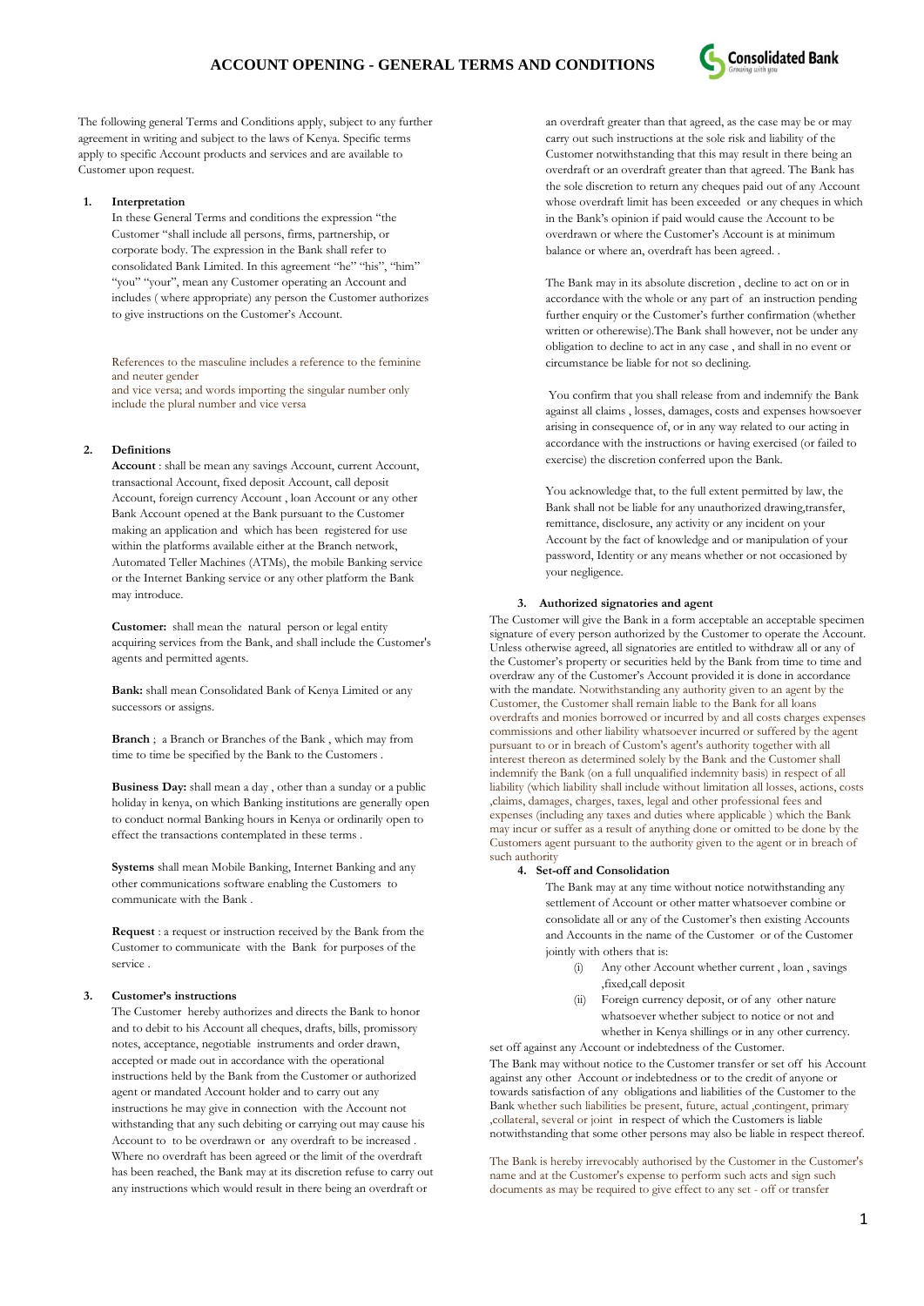

The following general Terms and Conditions apply, subject to any further agreement in writing and subject to the laws of Kenya. Specific terms apply to specific Account products and services and are available to Customer upon request.

#### **1. Interpretation**

In these General Terms and conditions the expression "the Customer "shall include all persons, firms, partnership, or corporate body. The expression in the Bank shall refer to consolidated Bank Limited. In this agreement "he" "his", "him" "you" "your", mean any Customer operating an Account and includes ( where appropriate) any person the Customer authorizes to give instructions on the Customer's Account.

References to the masculine includes a reference to the feminine and neuter gender

and vice versa; and words importing the singular number only include the plural number and vice versa

## **2. Definitions**

**Account** : shall be mean any savings Account, current Account, transactional Account, fixed deposit Account, call deposit Account, foreign currency Account , loan Account or any other Bank Account opened at the Bank pursuant to the Customer making an application and which has been registered for use within the platforms available either at the Branch network, Automated Teller Machines (ATMs), the mobile Banking service or the Internet Banking service or any other platform the Bank may introduce.

**Customer:** shall mean the natural person or legal entity acquiring services from the Bank, and shall include the Customer's agents and permitted agents.

**Bank:** shall mean Consolidated Bank of Kenya Limited or any successors or assigns.

**Branch** ; a Branch or Branches of the Bank , which may from time to time be specified by the Bank to the Customers .

**Business Day:** shall mean a day , other than a sunday or a public holiday in kenya, on which Banking institutions are generally open to conduct normal Banking hours in Kenya or ordinarily open to effect the transactions contemplated in these terms .

**Systems** shall mean Mobile Banking, Internet Banking and any other communications software enabling the Customers to communicate with the Bank .

**Request** : a request or instruction received by the Bank from the Customer to communicate with the Bank for purposes of the service .

### **3. Customer's instructions**

The Customer hereby authorizes and directs the Bank to honor and to debit to his Account all cheques, drafts, bills, promissory notes, acceptance, negotiable instruments and order drawn, accepted or made out in accordance with the operational instructions held by the Bank from the Customer or authorized agent or mandated Account holder and to carry out any instructions he may give in connection with the Account not withstanding that any such debiting or carrying out may cause his Account to to be overdrawn or any overdraft to be increased . Where no overdraft has been agreed or the limit of the overdraft has been reached, the Bank may at its discretion refuse to carry out any instructions which would result in there being an overdraft or

an overdraft greater than that agreed, as the case may be or may carry out such instructions at the sole risk and liability of the Customer notwithstanding that this may result in there being an overdraft or an overdraft greater than that agreed. The Bank has the sole discretion to return any cheques paid out of any Account whose overdraft limit has been exceeded or any cheques in which in the Bank"s opinion if paid would cause the Account to be overdrawn or where the Customer"s Account is at minimum balance or where an, overdraft has been agreed. .

The Bank may in its absolute discretion , decline to act on or in accordance with the whole or any part of an instruction pending further enquiry or the Customer's further confirmation (whether written or otherewise).The Bank shall however, not be under any obligation to decline to act in any case , and shall in no event or circumstance be liable for not so declining.

You confirm that you shall release from and indemnify the Bank against all claims , losses, damages, costs and expenses howsoever arising in consequence of, or in any way related to our acting in accordance with the instructions or having exercised (or failed to exercise) the discretion conferred upon the Bank.

You acknowledge that, to the full extent permitted by law, the Bank shall not be liable for any unauthorized drawing,transfer, remittance, disclosure, any activity or any incident on your Account by the fact of knowledge and or manipulation of your password, Identity or any means whether or not occasioned by your negligence.

## **3. Authorized signatories and agent**

The Customer will give the Bank in a form acceptable an acceptable specimen signature of every person authorized by the Customer to operate the Account. Unless otherwise agreed, all signatories are entitled to withdraw all or any of the Customer's property or securities held by the Bank from time to time and overdraw any of the Customer"s Account provided it is done in accordance with the mandate. Notwithstanding any authority given to an agent by the Customer, the Customer shall remain liable to the Bank for all loans overdrafts and monies borrowed or incurred by and all costs charges expenses commissions and other liability whatsoever incurred or suffered by the agent pursuant to or in breach of Custom's agent's authority together with all interest thereon as determined solely by the Bank and the Customer shall indemnify the Bank (on a full unqualified indemnity basis) in respect of all liability (which liability shall include without limitation all losses, actions, costs ,claims, damages, charges, taxes, legal and other professional fees and expenses (including any taxes and duties where applicable ) which the Bank may incur or suffer as a result of anything done or omitted to be done by the Customers agent pursuant to the authority given to the agent or in breach of such authority

# **4. Set-off and Consolidation**

The Bank may at any time without notice notwithstanding any settlement of Account or other matter whatsoever combine or consolidate all or any of the Customer's then existing Accounts and Accounts in the name of the Customer or of the Customer jointly with others that is:

- (i) Any other Account whether current , loan , savings ,fixed,call deposit
- (ii) Foreign currency deposit, or of any other nature whatsoever whether subject to notice or not and whether in Kenya shillings or in any other currency. set off against any Account or indebtedness of the Customer.

The Bank may without notice to the Customer transfer or set off his Account against any other Account or indebtedness or to the credit of anyone or towards satisfaction of any obligations and liabilities of the Customer to the Bank whether such liabilities be present, future, actual ,contingent, primary ,collateral, several or joint in respect of which the Customers is liable notwithstanding that some other persons may also be liable in respect thereof.

The Bank is hereby irrevocably authorised by the Customer in the Customer's name and at the Customer's expense to perform such acts and sign such documents as may be required to give effect to any set - off or transfer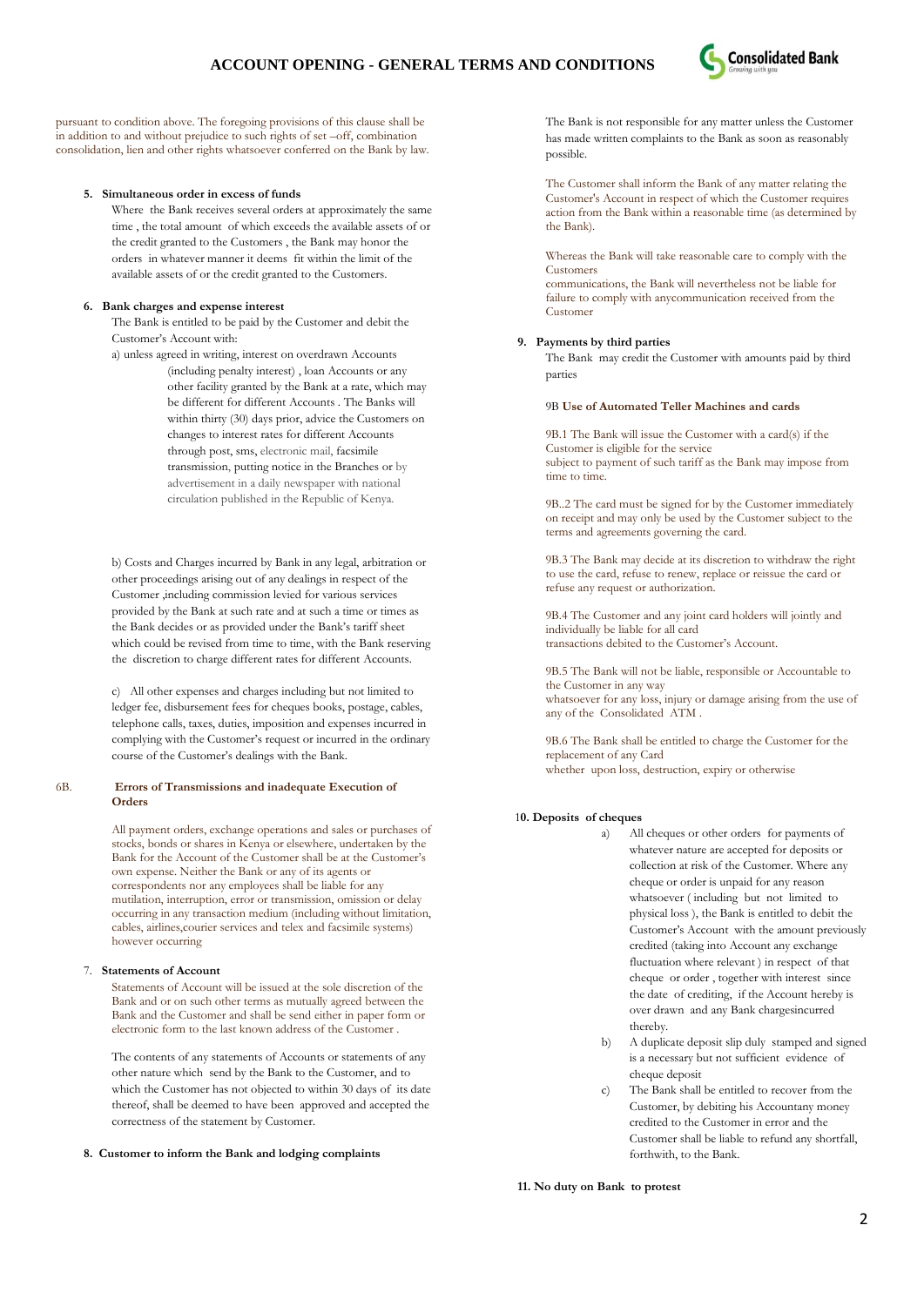

pursuant to condition above. The foregoing provisions of this clause shall be in addition to and without prejudice to such rights of set –off, combination consolidation, lien and other rights whatsoever conferred on the Bank by law.

### **5. Simultaneous order in excess of funds**

Where the Bank receives several orders at approximately the same time , the total amount of which exceeds the available assets of or the credit granted to the Customers , the Bank may honor the orders in whatever manner it deems fit within the limit of the available assets of or the credit granted to the Customers.

## **6. Bank charges and expense interest**

The Bank is entitled to be paid by the Customer and debit the Customer"s Account with:

a) unless agreed in writing, interest on overdrawn Accounts (including penalty interest) , loan Accounts or any other facility granted by the Bank at a rate, which may be different for different Accounts . The Banks will within thirty (30) days prior, advice the Customers on changes to interest rates for different Accounts through post, sms, electronic mail, facsimile transmission, putting notice in the Branches or by advertisement in a daily newspaper with national circulation published in the Republic of Kenya.

b) Costs and Charges incurred by Bank in any legal, arbitration or other proceedings arising out of any dealings in respect of the Customer ,including commission levied for various services provided by the Bank at such rate and at such a time or times as the Bank decides or as provided under the Bank"s tariff sheet which could be revised from time to time, with the Bank reserving the discretion to charge different rates for different Accounts.

c) All other expenses and charges including but not limited to ledger fee, disbursement fees for cheques books, postage, cables, telephone calls, taxes, duties, imposition and expenses incurred in complying with the Customer"s request or incurred in the ordinary course of the Customer"s dealings with the Bank.

# 6B. **Errors of Transmissions and inadequate Execution of Orders**

All payment orders, exchange operations and sales or purchases of stocks, bonds or shares in Kenya or elsewhere, undertaken by the Bank for the Account of the Customer shall be at the Customer's own expense. Neither the Bank or any of its agents or correspondents nor any employees shall be liable for any mutilation, interruption, error or transmission, omission or delay occurring in any transaction medium (including without limitation, cables, airlines,courier services and telex and facsimile systems) however occurring

# 7. **Statements of Account**

Statements of Account will be issued at the sole discretion of the Bank and or on such other terms as mutually agreed between the Bank and the Customer and shall be send either in paper form or electronic form to the last known address of the Customer .

The contents of any statements of Accounts or statements of any other nature which send by the Bank to the Customer, and to which the Customer has not objected to within 30 days of its date thereof, shall be deemed to have been approved and accepted the correctness of the statement by Customer.

# **8. Customer to inform the Bank and lodging complaints**

The Bank is not responsible for any matter unless the Customer has made written complaints to the Bank as soon as reasonably possible.

The Customer shall inform the Bank of any matter relating the Customer's Account in respect of which the Customer requires action from the Bank within a reasonable time (as determined by the Bank).

Whereas the Bank will take reasonable care to comply with the Customers

communications, the Bank will nevertheless not be liable for failure to comply with anycommunication received from the Customer

### **9. Payments by third parties**

The Bank may credit the Customer with amounts paid by third parties

### 9B **Use of Automated Teller Machines and cards**

9B.1 The Bank will issue the Customer with a card(s) if the Customer is eligible for the service subject to payment of such tariff as the Bank may impose from time to time.

9B..2 The card must be signed for by the Customer immediately on receipt and may only be used by the Customer subject to the terms and agreements governing the card.

9B.3 The Bank may decide at its discretion to withdraw the right to use the card, refuse to renew, replace or reissue the card or refuse any request or authorization.

9B.4 The Customer and any joint card holders will jointly and individually be liable for all card transactions debited to the Customer's Account.

9B.5 The Bank will not be liable, responsible or Accountable to the Customer in any way

whatsoever for any loss, injury or damage arising from the use of any of the Consolidated ATM .

9B.6 The Bank shall be entitled to charge the Customer for the replacement of any Card

whether upon loss, destruction, expiry or otherwise

### 1**0. Deposits of cheques**

- All cheques or other orders for payments of whatever nature are accepted for deposits or collection at risk of the Customer. Where any cheque or order is unpaid for any reason whatsoever ( including but not limited to physical loss ), the Bank is entitled to debit the Customer"s Account with the amount previously credited (taking into Account any exchange fluctuation where relevant ) in respect of that cheque or order , together with interest since the date of crediting, if the Account hereby is over drawn and any Bank chargesincurred thereby.
- b) A duplicate deposit slip duly stamped and signed is a necessary but not sufficient evidence of cheque deposit
- The Bank shall be entitled to recover from the Customer, by debiting his Accountany money credited to the Customer in error and the Customer shall be liable to refund any shortfall, forthwith, to the Bank.

**11. No duty on Bank to protest**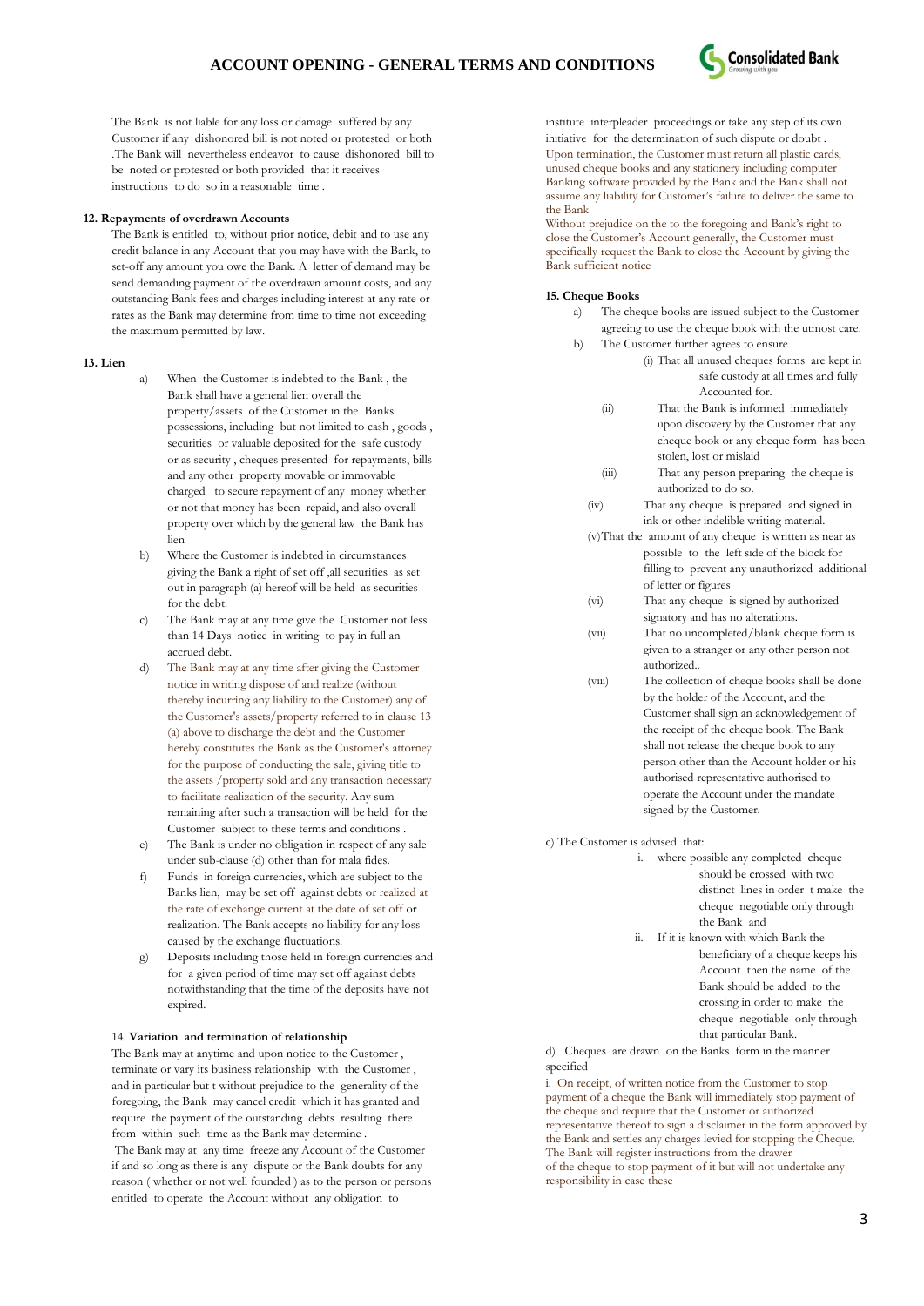

The Bank is not liable for any loss or damage suffered by any Customer if any dishonored bill is not noted or protested or both .The Bank will nevertheless endeavor to cause dishonored bill to be noted or protested or both provided that it receives instructions to do so in a reasonable time .

## **12. Repayments of overdrawn Accounts**

The Bank is entitled to, without prior notice, debit and to use any credit balance in any Account that you may have with the Bank, to set-off any amount you owe the Bank. A letter of demand may be send demanding payment of the overdrawn amount costs, and any outstanding Bank fees and charges including interest at any rate or rates as the Bank may determine from time to time not exceeding the maximum permitted by law.

## **13. Lien**

- a) When the Customer is indebted to the Bank , the Bank shall have a general lien overall the property/assets of the Customer in the Banks possessions, including but not limited to cash , goods , securities or valuable deposited for the safe custody or as security , cheques presented for repayments, bills and any other property movable or immovable charged to secure repayment of any money whether or not that money has been repaid, and also overall property over which by the general law the Bank has lien
- b) Where the Customer is indebted in circumstances giving the Bank a right of set off ,all securities as set out in paragraph (a) hereof will be held as securities for the debt.
- c) The Bank may at any time give the Customer not less than 14 Days notice in writing to pay in full an accrued debt.
- d) The Bank may at any time after giving the Customer notice in writing dispose of and realize (without thereby incurring any liability to the Customer) any of the Customer's assets/property referred to in clause 13 (a) above to discharge the debt and the Customer hereby constitutes the Bank as the Customer's attorney for the purpose of conducting the sale, giving title to the assets /property sold and any transaction necessary to facilitate realization of the security. Any sum remaining after such a transaction will be held for the Customer subject to these terms and conditions .
- e) The Bank is under no obligation in respect of any sale under sub-clause (d) other than for mala fides.
- f) Funds in foreign currencies, which are subject to the Banks lien, may be set off against debts or realized at the rate of exchange current at the date of set off or realization. The Bank accepts no liability for any loss caused by the exchange fluctuations.
- g) Deposits including those held in foreign currencies and for a given period of time may set off against debts notwithstanding that the time of the deposits have not expired.

#### 14. **Variation and termination of relationship**

The Bank may at anytime and upon notice to the Customer , terminate or vary its business relationship with the Customer , and in particular but t without prejudice to the generality of the foregoing, the Bank may cancel credit which it has granted and require the payment of the outstanding debts resulting there from within such time as the Bank may determine .

The Bank may at any time freeze any Account of the Customer if and so long as there is any dispute or the Bank doubts for any reason ( whether or not well founded ) as to the person or persons entitled to operate the Account without any obligation to

institute interpleader proceedings or take any step of its own initiative for the determination of such dispute or doubt . Upon termination, the Customer must return all plastic cards, unused cheque books and any stationery including computer Banking software provided by the Bank and the Bank shall not assume any liability for Customer"s failure to deliver the same to the Bank

Without prejudice on the to the foregoing and Bank's right to close the Customer"s Account generally, the Customer must specifically request the Bank to close the Account by giving the Bank sufficient notice

### **15. Cheque Books**

- a) The cheque books are issued subject to the Customer agreeing to use the cheque book with the utmost care.
- b) The Customer further agrees to ensure
	- (i) That all unused cheques forms are kept in safe custody at all times and fully Accounted for.
	- (ii) That the Bank is informed immediately upon discovery by the Customer that any cheque book or any cheque form has been stolen, lost or mislaid
	- (iii) That any person preparing the cheque is authorized to do so.
	- (iv) That any cheque is prepared and signed in ink or other indelible writing material.
	- (v)That the amount of any cheque is written as near as possible to the left side of the block for filling to prevent any unauthorized additional of letter or figures
	- (vi) That any cheque is signed by authorized signatory and has no alterations.
	- (vii) That no uncompleted/blank cheque form is given to a stranger or any other person not authorized..
	- (viii) The collection of cheque books shall be done by the holder of the Account, and the Customer shall sign an acknowledgement of the receipt of the cheque book. The Bank shall not release the cheque book to any person other than the Account holder or his authorised representative authorised to operate the Account under the mandate signed by the Customer.
- c) The Customer is advised that:
	- i. where possible any completed cheque should be crossed with two distinct lines in order t make the cheque negotiable only through the Bank and ii. If it is known with which Bank the beneficiary of a cheque keeps his Account then the name of the Bank should be added to the crossing in order to make the cheque negotiable only through

that particular Bank. d) Cheques are drawn on the Banks form in the manner specified

i. On receipt, of written notice from the Customer to stop payment of a cheque the Bank will immediately stop payment of the cheque and require that the Customer or authorized representative thereof to sign a disclaimer in the form approved by the Bank and settles any charges levied for stopping the Cheque. The Bank will register instructions from the drawer of the cheque to stop payment of it but will not undertake any responsibility in case these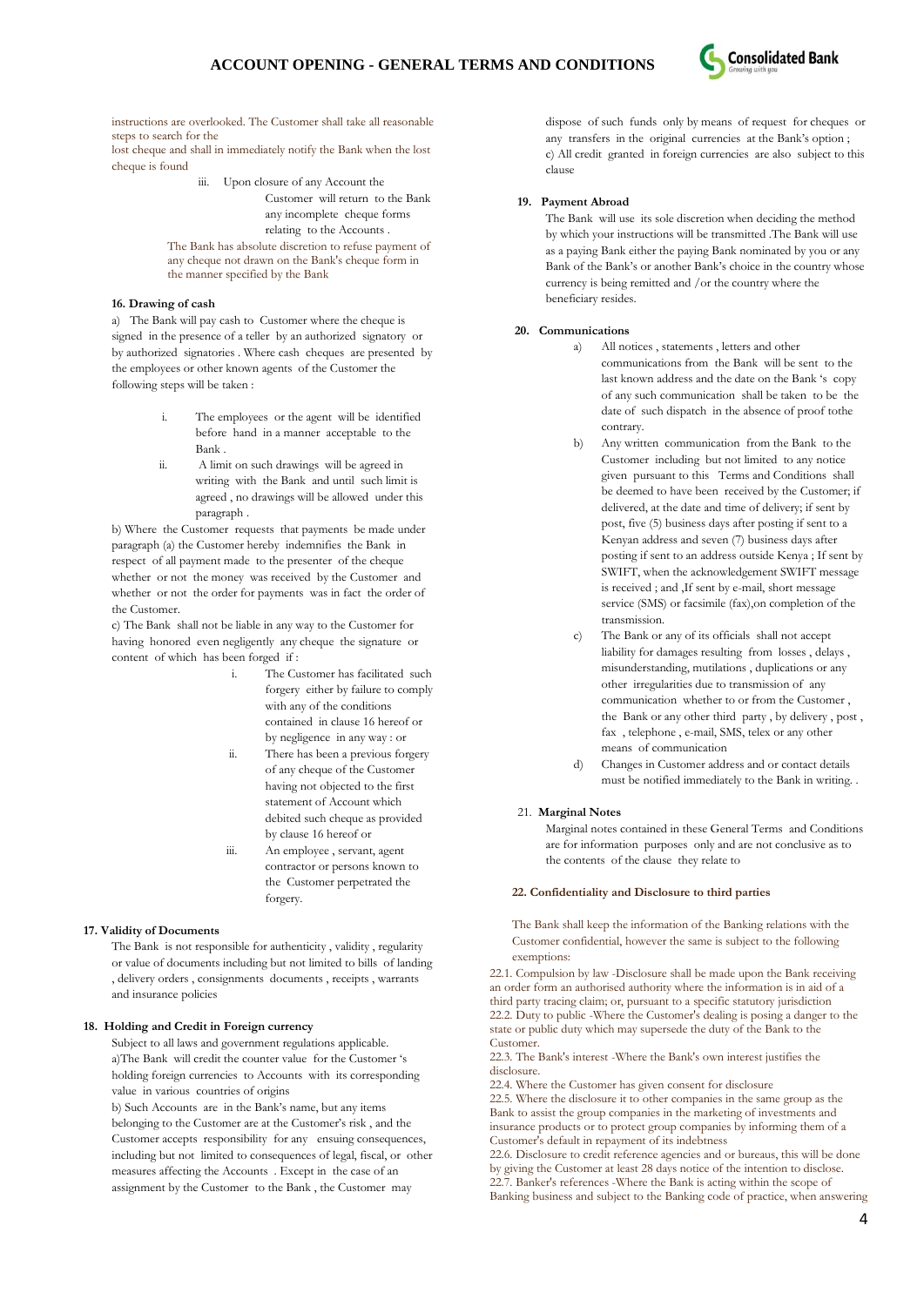

instructions are overlooked. The Customer shall take all reasonable steps to search for the

lost cheque and shall in immediately notify the Bank when the lost cheque is found

iii. Upon closure of any Account the Customer will return to the Bank any incomplete cheque forms relating to the Accounts .

The Bank has absolute discretion to refuse payment of any cheque not drawn on the Bank's cheque form in the manner specified by the Bank

# **16. Drawing of cash**

a) The Bank will pay cash to Customer where the cheque is signed in the presence of a teller by an authorized signatory or by authorized signatories . Where cash cheques are presented by the employees or other known agents of the Customer the following steps will be taken :

- i. The employees or the agent will be identified before hand in a manner acceptable to the Bank .
- ii. A limit on such drawings will be agreed in writing with the Bank and until such limit is agreed , no drawings will be allowed under this paragraph .

b) Where the Customer requests that payments be made under paragraph (a) the Customer hereby indemnifies the Bank in respect of all payment made to the presenter of the cheque whether or not the money was received by the Customer and whether or not the order for payments was in fact the order of the Customer.

c) The Bank shall not be liable in any way to the Customer for having honored even negligently any cheque the signature or content of which has been forged if :

- i. The Customer has facilitated such forgery either by failure to comply with any of the conditions contained in clause 16 hereof or by negligence in any way : or
- ii. There has been a previous forgery of any cheque of the Customer having not objected to the first statement of Account which debited such cheque as provided by clause 16 hereof or
- iii. An employee , servant, agent contractor or persons known to the Customer perpetrated the forgery.

### **17. Validity of Documents**

The Bank is not responsible for authenticity , validity , regularity or value of documents including but not limited to bills of landing , delivery orders , consignments documents , receipts , warrants and insurance policies

# **18. Holding and Credit in Foreign currency**

Subject to all laws and government regulations applicable. a)The Bank will credit the counter value for the Customer "s holding foreign currencies to Accounts with its corresponding value in various countries of origins

b) Such Accounts are in the Bank"s name, but any items belonging to the Customer are at the Customer's risk, and the Customer accepts responsibility for any ensuing consequences, including but not limited to consequences of legal, fiscal, or other measures affecting the Accounts . Except in the case of an assignment by the Customer to the Bank , the Customer may

dispose of such funds only by means of request for cheques or any transfers in the original currencies at the Bank"s option ; c) All credit granted in foreign currencies are also subject to this clause

### **19. Payment Abroad**

The Bank will use its sole discretion when deciding the method by which your instructions will be transmitted .The Bank will use as a paying Bank either the paying Bank nominated by you or any Bank of the Bank"s or another Bank"s choice in the country whose currency is being remitted and /or the country where the beneficiary resides.

### **20. Communications**

- a) All notices , statements , letters and other communications from the Bank will be sent to the last known address and the date on the Bank "s copy of any such communication shall be taken to be the date of such dispatch in the absence of proof tothe contrary.
- b) Any written communication from the Bank to the Customer including but not limited to any notice given pursuant to this Terms and Conditions shall be deemed to have been received by the Customer; if delivered, at the date and time of delivery; if sent by post, five (5) business days after posting if sent to a Kenyan address and seven (7) business days after posting if sent to an address outside Kenya ; If sent by SWIFT, when the acknowledgement SWIFT message is received ; and ,If sent by e-mail, short message service (SMS) or facsimile (fax),on completion of the transmission.
- c) The Bank or any of its officials shall not accept liability for damages resulting from losses , delays , misunderstanding, mutilations , duplications or any other irregularities due to transmission of any communication whether to or from the Customer , the Bank or any other third party , by delivery , post , fax , telephone , e-mail, SMS, telex or any other means of communication
- d) Changes in Customer address and or contact details must be notified immediately to the Bank in writing. .

### 21. **Marginal Notes**

Marginal notes contained in these General Terms and Conditions are for information purposes only and are not conclusive as to the contents of the clause they relate to

### **22. Confidentiality and Disclosure to third parties**

The Bank shall keep the information of the Banking relations with the Customer confidential, however the same is subject to the following exemptions:

22.1. Compulsion by law -Disclosure shall be made upon the Bank receiving an order form an authorised authority where the information is in aid of a third party tracing claim; or, pursuant to a specific statutory jurisdiction 22.2. Duty to public -Where the Customer's dealing is posing a danger to the state or public duty which may supersede the duty of the Bank to the Customer.

22.3. The Bank's interest -Where the Bank's own interest justifies the disclosure.

22.4. Where the Customer has given consent for disclosure

22.5. Where the disclosure it to other companies in the same group as the Bank to assist the group companies in the marketing of investments and insurance products or to protect group companies by informing them of a Customer's default in repayment of its indebtness

22.6. Disclosure to credit reference agencies and or bureaus, this will be done by giving the Customer at least 28 days notice of the intention to disclose. 22.7. Banker's references -Where the Bank is acting within the scope of Banking business and subject to the Banking code of practice, when answering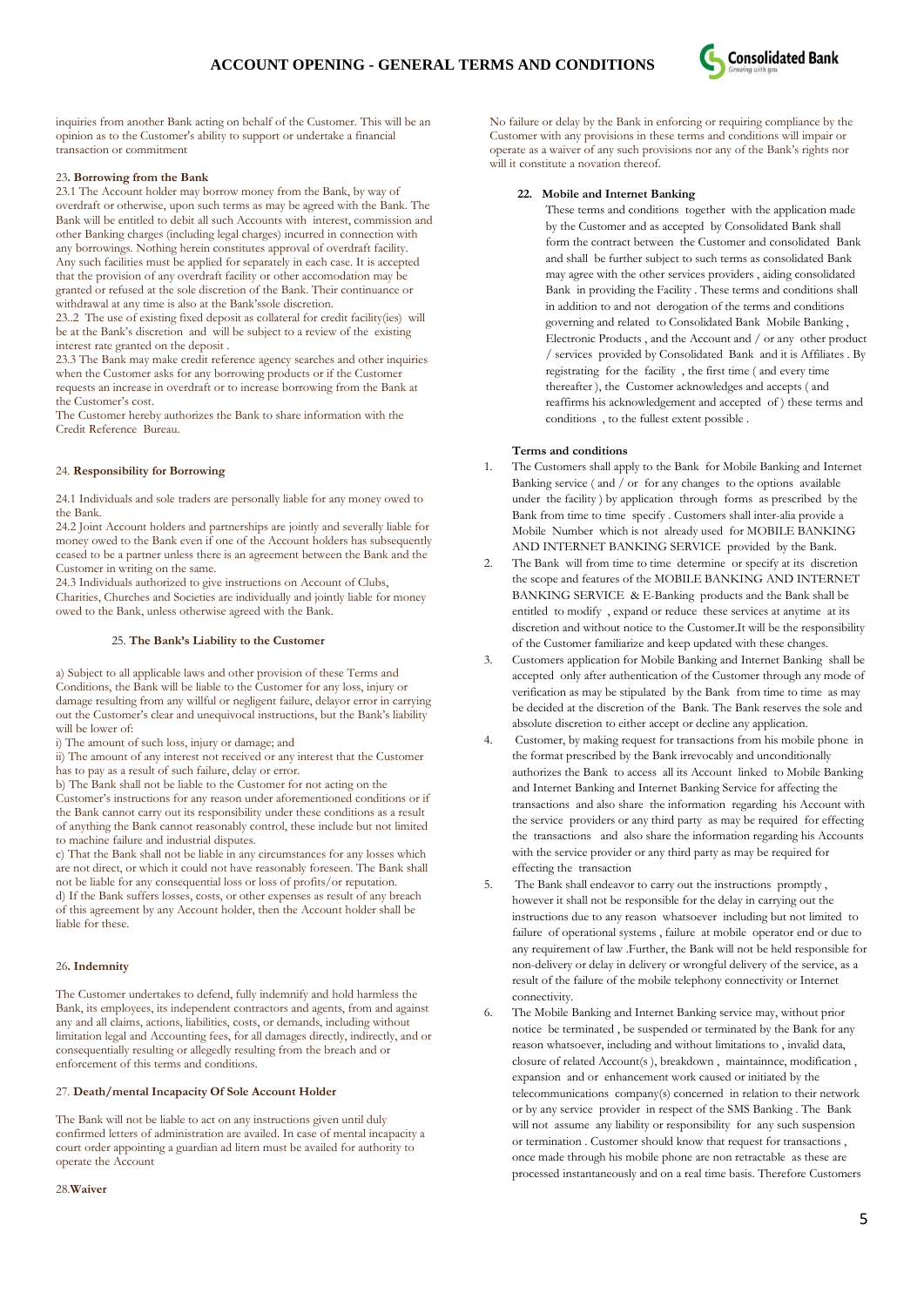

inquiries from another Bank acting on behalf of the Customer. This will be an opinion as to the Customer's ability to support or undertake a financial transaction or commitment

## 23**. Borrowing from the Bank**

23.1 The Account holder may borrow money from the Bank, by way of overdraft or otherwise, upon such terms as may be agreed with the Bank. The Bank will be entitled to debit all such Accounts with interest, commission and other Banking charges (including legal charges) incurred in connection with any borrowings. Nothing herein constitutes approval of overdraft facility. Any such facilities must be applied for separately in each case. It is accepted that the provision of any overdraft facility or other accomodation may be granted or refused at the sole discretion of the Bank. Their continuance or withdrawal at any time is also at the Bank"ssole discretion.

23..2 The use of existing fixed deposit as collateral for credit facility(ies) will be at the Bank"s discretion and will be subject to a review of the existing interest rate granted on the deposit .

23.3 The Bank may make credit reference agency searches and other inquiries when the Customer asks for any borrowing products or if the Customer requests an increase in overdraft or to increase borrowing from the Bank at the Customer's cost.

The Customer hereby authorizes the Bank to share information with the Credit Reference Bureau.

## 24. **Responsibility for Borrowing**

24.1 Individuals and sole traders are personally liable for any money owed to the Bank.

24.2 Joint Account holders and partnerships are jointly and severally liable for money owed to the Bank even if one of the Account holders has subsequently ceased to be a partner unless there is an agreement between the Bank and the Customer in writing on the same. 24.3 Individuals authorized to give instructions on Account of Clubs,

Charities, Churches and Societies are individually and jointly liable for money owed to the Bank, unless otherwise agreed with the Bank.

## 25. **The Bank's Liability to the Customer**

a) Subject to all applicable laws and other provision of these Terms and Conditions, the Bank will be liable to the Customer for any loss, injury or damage resulting from any willful or negligent failure, delayor error in carrying out the Customer's clear and unequivocal instructions, but the Bank's liability will be lower of:

i) The amount of such loss, injury or damage; and

ii) The amount of any interest not received or any interest that the Customer has to pay as a result of such failure, delay or error.

b) The Bank shall not be liable to the Customer for not acting on the Customer"s instructions for any reason under aforementioned conditions or if the Bank cannot carry out its responsibility under these conditions as a result of anything the Bank cannot reasonably control, these include but not limited to machine failure and industrial disputes.

c) That the Bank shall not be liable in any circumstances for any losses which are not direct, or which it could not have reasonably foreseen. The Bank shall not be liable for any consequential loss or loss of profits/or reputation. d) If the Bank suffers losses, costs, or other expenses as result of any breach of this agreement by any Account holder, then the Account holder shall be liable for these.

# 26**. Indemnity**

The Customer undertakes to defend, fully indemnify and hold harmless the Bank, its employees, its independent contractors and agents, from and against any and all claims, actions, liabilities, costs, or demands, including without limitation legal and Accounting fees, for all damages directly, indirectly, and or consequentially resulting or allegedly resulting from the breach and or enforcement of this terms and conditions.

## 27. **Death/mental Incapacity Of Sole Account Holder**

The Bank will not be liable to act on any instructions given until duly confirmed letters of administration are availed. In case of mental incapacity a court order appointing a guardian ad litern must be availed for authority to operate the Account

No failure or delay by the Bank in enforcing or requiring compliance by the Customer with any provisions in these terms and conditions will impair or operate as a waiver of any such provisions nor any of the Bank"s rights nor will it constitute a novation thereof.

### **22. Mobile and Internet Banking**

These terms and conditions together with the application made by the Customer and as accepted by Consolidated Bank shall form the contract between the Customer and consolidated Bank and shall be further subject to such terms as consolidated Bank may agree with the other services providers , aiding consolidated Bank in providing the Facility . These terms and conditions shall in addition to and not derogation of the terms and conditions governing and related to Consolidated Bank Mobile Banking , Electronic Products , and the Account and / or any other product / services provided by Consolidated Bank and it is Affiliates . By registrating for the facility , the first time ( and every time thereafter ), the Customer acknowledges and accepts ( and reaffirms his acknowledgement and accepted of ) these terms and conditions , to the fullest extent possible .

### **Terms and conditions**

- 1. The Customers shall apply to the Bank for Mobile Banking and Internet Banking service ( and / or for any changes to the options available under the facility ) by application through forms as prescribed by the Bank from time to time specify . Customers shall inter-alia provide a Mobile Number which is not already used for MOBILE BANKING AND INTERNET BANKING SERVICE provided by the Bank.
- 2. The Bank will from time to time determine or specify at its discretion the scope and features of the MOBILE BANKING AND INTERNET BANKING SERVICE & E-Banking products and the Bank shall be entitled to modify , expand or reduce these services at anytime at its discretion and without notice to the Customer.It will be the responsibility of the Customer familiarize and keep updated with these changes.
- 3. Customers application for Mobile Banking and Internet Banking shall be accepted only after authentication of the Customer through any mode of verification as may be stipulated by the Bank from time to time as may be decided at the discretion of the Bank. The Bank reserves the sole and absolute discretion to either accept or decline any application.
- 4. Customer, by making request for transactions from his mobile phone in the format prescribed by the Bank irrevocably and unconditionally authorizes the Bank to access all its Account linked to Mobile Banking and Internet Banking and Internet Banking Service for affecting the transactions and also share the information regarding his Account with the service providers or any third party as may be required for effecting the transactions and also share the information regarding his Accounts with the service provider or any third party as may be required for effecting the transaction
- 5. The Bank shall endeavor to carry out the instructions promptly , however it shall not be responsible for the delay in carrying out the instructions due to any reason whatsoever including but not limited to failure of operational systems , failure at mobile operator end or due to any requirement of law .Further, the Bank will not be held responsible for non-delivery or delay in delivery or wrongful delivery of the service, as a result of the failure of the mobile telephony connectivity or Internet connectivity.
- 6. The Mobile Banking and Internet Banking service may, without prior notice be terminated , be suspended or terminated by the Bank for any reason whatsoever, including and without limitations to , invalid data, closure of related Account(s ), breakdown , maintainnce, modification , expansion and or enhancement work caused or initiated by the telecommunications company(s) concerned in relation to their network or by any service provider in respect of the SMS Banking . The Bank will not assume any liability or responsibility for any such suspension or termination . Customer should know that request for transactions , once made through his mobile phone are non retractable as these are processed instantaneously and on a real time basis. Therefore Customers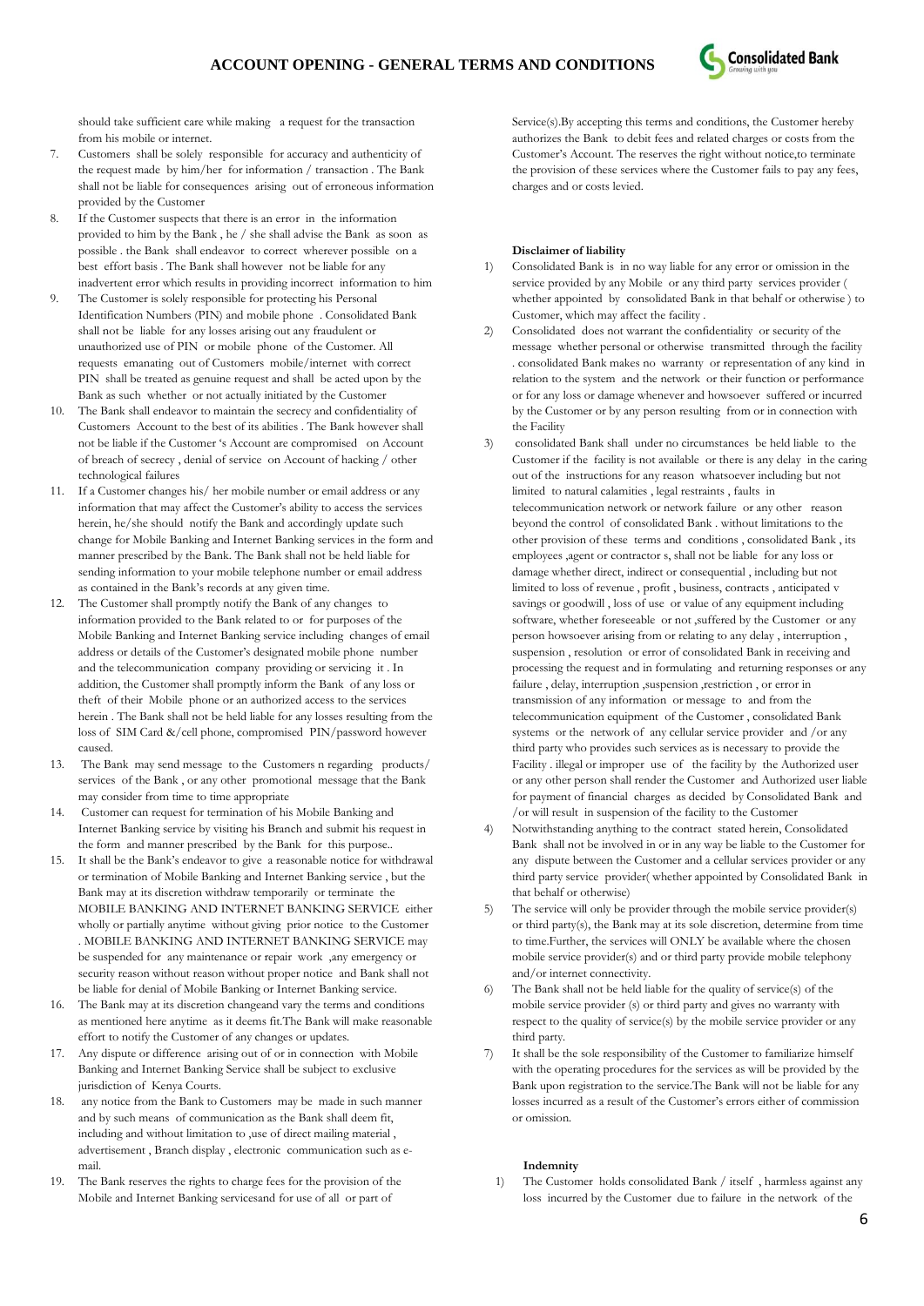

should take sufficient care while making a request for the transaction from his mobile or internet.

- 7. Customers shall be solely responsible for accuracy and authenticity of the request made by him/her for information / transaction . The Bank shall not be liable for consequences arising out of erroneous information provided by the Customer
- 8. If the Customer suspects that there is an error in the information provided to him by the Bank , he / she shall advise the Bank as soon as possible . the Bank shall endeavor to correct wherever possible on a best effort basis . The Bank shall however not be liable for any inadvertent error which results in providing incorrect information to him
- 9. The Customer is solely responsible for protecting his Personal Identification Numbers (PIN) and mobile phone . Consolidated Bank shall not be liable for any losses arising out any fraudulent or unauthorized use of PIN or mobile phone of the Customer. All requests emanating out of Customers mobile/internet with correct PIN shall be treated as genuine request and shall be acted upon by the Bank as such whether or not actually initiated by the Customer
- 10. The Bank shall endeavor to maintain the secrecy and confidentiality of Customers Account to the best of its abilities . The Bank however shall not be liable if the Customer "s Account are compromised on Account of breach of secrecy , denial of service on Account of hacking / other technological failures
- 11. If a Customer changes his/ her mobile number or email address or any information that may affect the Customer's ability to access the services herein, he/she should notify the Bank and accordingly update such change for Mobile Banking and Internet Banking services in the form and manner prescribed by the Bank. The Bank shall not be held liable for sending information to your mobile telephone number or email address as contained in the Bank's records at any given time.
- 12. The Customer shall promptly notify the Bank of any changes to information provided to the Bank related to or for purposes of the Mobile Banking and Internet Banking service including changes of email address or details of the Customer's designated mobile phone number and the telecommunication company providing or servicing it . In addition, the Customer shall promptly inform the Bank of any loss or theft of their Mobile phone or an authorized access to the services herein . The Bank shall not be held liable for any losses resulting from the loss of SIM Card &/cell phone, compromised PIN/password however caused.
- 13. The Bank may send message to the Customers n regarding products/ services of the Bank , or any other promotional message that the Bank may consider from time to time appropriate
- 14. Customer can request for termination of his Mobile Banking and Internet Banking service by visiting his Branch and submit his request in the form and manner prescribed by the Bank for this purpose..
- 15. It shall be the Bank"s endeavor to give a reasonable notice for withdrawal or termination of Mobile Banking and Internet Banking service , but the Bank may at its discretion withdraw temporarily or terminate the MOBILE BANKING AND INTERNET BANKING SERVICE either wholly or partially anytime without giving prior notice to the Customer . MOBILE BANKING AND INTERNET BANKING SERVICE may be suspended for any maintenance or repair work ,any emergency or security reason without reason without proper notice and Bank shall not be liable for denial of Mobile Banking or Internet Banking service.
- 16. The Bank may at its discretion changeand vary the terms and conditions as mentioned here anytime as it deems fit.The Bank will make reasonable effort to notify the Customer of any changes or updates.
- 17. Any dispute or difference arising out of or in connection with Mobile Banking and Internet Banking Service shall be subject to exclusive jurisdiction of Kenya Courts.
- 18. any notice from the Bank to Customers may be made in such manner and by such means of communication as the Bank shall deem fit, including and without limitation to ,use of direct mailing material , advertisement , Branch display , electronic communication such as email.
- 19. The Bank reserves the rights to charge fees for the provision of the Mobile and Internet Banking servicesand for use of all or part of

Service(s).By accepting this terms and conditions, the Customer hereby authorizes the Bank to debit fees and related charges or costs from the Customer"s Account. The reserves the right without notice,to terminate the provision of these services where the Customer fails to pay any fees, charges and or costs levied.

### **Disclaimer of liability**

- 1) Consolidated Bank is in no way liable for any error or omission in the service provided by any Mobile or any third party services provider ( whether appointed by consolidated Bank in that behalf or otherwise ) to Customer, which may affect the facility .
- 2) Consolidated does not warrant the confidentiality or security of the message whether personal or otherwise transmitted through the facility . consolidated Bank makes no warranty or representation of any kind in relation to the system and the network or their function or performance or for any loss or damage whenever and howsoever suffered or incurred by the Customer or by any person resulting from or in connection with the Facility
- 3) consolidated Bank shall under no circumstances be held liable to the Customer if the facility is not available or there is any delay in the caring out of the instructions for any reason whatsoever including but not limited to natural calamities , legal restraints , faults in telecommunication network or network failure or any other reason beyond the control of consolidated Bank . without limitations to the other provision of these terms and conditions , consolidated Bank , its employees ,agent or contractor s, shall not be liable for any loss or damage whether direct, indirect or consequential , including but not limited to loss of revenue , profit , business, contracts , anticipated v savings or goodwill , loss of use or value of any equipment including software, whether foreseeable or not ,suffered by the Customer or any person howsoever arising from or relating to any delay , interruption , suspension , resolution or error of consolidated Bank in receiving and processing the request and in formulating and returning responses or any failure , delay, interruption ,suspension ,restriction , or error in transmission of any information or message to and from the telecommunication equipment of the Customer , consolidated Bank systems or the network of any cellular service provider and /or any third party who provides such services as is necessary to provide the Facility . illegal or improper use of the facility by the Authorized user or any other person shall render the Customer and Authorized user liable for payment of financial charges as decided by Consolidated Bank and /or will result in suspension of the facility to the Customer
- 4) Notwithstanding anything to the contract stated herein, Consolidated Bank shall not be involved in or in any way be liable to the Customer for any dispute between the Customer and a cellular services provider or any third party service provider( whether appointed by Consolidated Bank in that behalf or otherwise)
- 5) The service will only be provider through the mobile service provider(s) or third party(s), the Bank may at its sole discretion, determine from time to time.Further, the services will ONLY be available where the chosen mobile service provider(s) and or third party provide mobile telephony and/or internet connectivity.
- 6) The Bank shall not be held liable for the quality of service(s) of the mobile service provider (s) or third party and gives no warranty with respect to the quality of service(s) by the mobile service provider or any third party.
- 7) It shall be the sole responsibility of the Customer to familiarize himself with the operating procedures for the services as will be provided by the Bank upon registration to the service.The Bank will not be liable for any losses incurred as a result of the Customer's errors either of commission or omission.

# **Indemnity**

1) The Customer holds consolidated Bank / itself , harmless against any loss incurred by the Customer due to failure in the network of the